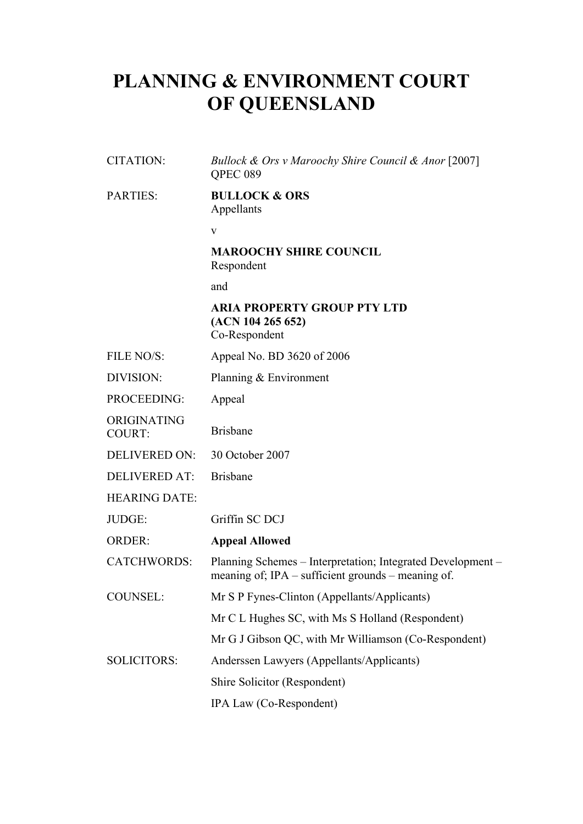# **PLANNING & ENVIRONMENT COURT OF QUEENSLAND**

CITATION: *Bullock & Ors v Maroochy Shire Council & Anor* [2007] QPEC 089

#### PARTIES: **BULLOCK & ORS** Appellants

v

#### **MAROOCHY SHIRE COUNCIL** Respondent

and

## **ARIA PROPERTY GROUP PTY LTD (ACN 104 265 652)**

Co-Respondent

- FILE NO/S: Appeal No. BD 3620 of 2006
- DIVISION: Planning & Environment
- PROCEEDING: Appeal
- ORIGINATING COURT: Brisbane
- DELIVERED ON: 30 October 2007
- DELIVERED AT: Brisbane

HEARING DATE:

JUDGE: Griffin SC DCJ

## ORDER: **Appeal Allowed**

CATCHWORDS: Planning Schemes – Interpretation; Integrated Development – meaning of; IPA – sufficient grounds – meaning of.

- COUNSEL: Mr S P Fynes-Clinton (Appellants/Applicants)
	- Mr C L Hughes SC, with Ms S Holland (Respondent)
	- Mr G J Gibson QC, with Mr Williamson (Co-Respondent)
- SOLICITORS: Anderssen Lawyers (Appellants/Applicants)

Shire Solicitor (Respondent)

IPA Law (Co-Respondent)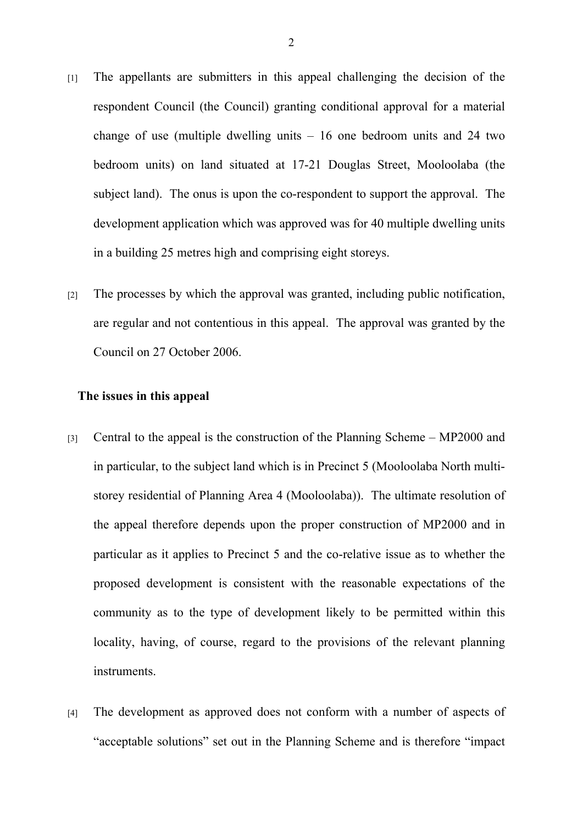- [1] The appellants are submitters in this appeal challenging the decision of the respondent Council (the Council) granting conditional approval for a material change of use (multiple dwelling units  $-16$  one bedroom units and 24 two bedroom units) on land situated at 17-21 Douglas Street, Mooloolaba (the subject land). The onus is upon the co-respondent to support the approval. The development application which was approved was for 40 multiple dwelling units in a building 25 metres high and comprising eight storeys.
- [2] The processes by which the approval was granted, including public notification, are regular and not contentious in this appeal. The approval was granted by the Council on 27 October 2006.

#### **The issues in this appeal**

- [3] Central to the appeal is the construction of the Planning Scheme MP2000 and in particular, to the subject land which is in Precinct 5 (Mooloolaba North multistorey residential of Planning Area 4 (Mooloolaba)). The ultimate resolution of the appeal therefore depends upon the proper construction of MP2000 and in particular as it applies to Precinct 5 and the co-relative issue as to whether the proposed development is consistent with the reasonable expectations of the community as to the type of development likely to be permitted within this locality, having, of course, regard to the provisions of the relevant planning instruments.
- [4] The development as approved does not conform with a number of aspects of "acceptable solutions" set out in the Planning Scheme and is therefore "impact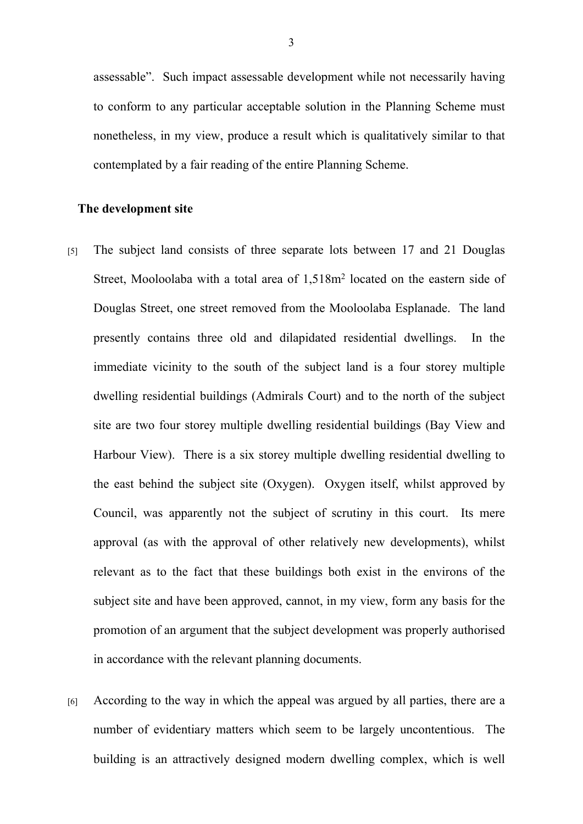assessable". Such impact assessable development while not necessarily having to conform to any particular acceptable solution in the Planning Scheme must nonetheless, in my view, produce a result which is qualitatively similar to that contemplated by a fair reading of the entire Planning Scheme.

#### **The development site**

- [5] The subject land consists of three separate lots between 17 and 21 Douglas Street, Mooloolaba with a total area of 1,518m<sup>2</sup> located on the eastern side of Douglas Street, one street removed from the Mooloolaba Esplanade. The land presently contains three old and dilapidated residential dwellings. In the immediate vicinity to the south of the subject land is a four storey multiple dwelling residential buildings (Admirals Court) and to the north of the subject site are two four storey multiple dwelling residential buildings (Bay View and Harbour View). There is a six storey multiple dwelling residential dwelling to the east behind the subject site (Oxygen). Oxygen itself, whilst approved by Council, was apparently not the subject of scrutiny in this court. Its mere approval (as with the approval of other relatively new developments), whilst relevant as to the fact that these buildings both exist in the environs of the subject site and have been approved, cannot, in my view, form any basis for the promotion of an argument that the subject development was properly authorised in accordance with the relevant planning documents.
- [6] According to the way in which the appeal was argued by all parties, there are a number of evidentiary matters which seem to be largely uncontentious. The building is an attractively designed modern dwelling complex, which is well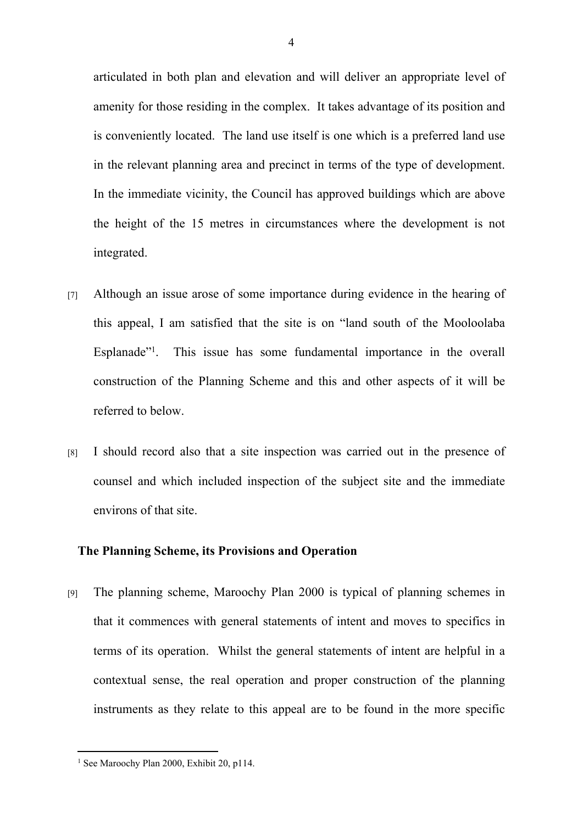articulated in both plan and elevation and will deliver an appropriate level of amenity for those residing in the complex. It takes advantage of its position and is conveniently located. The land use itself is one which is a preferred land use in the relevant planning area and precinct in terms of the type of development. In the immediate vicinity, the Council has approved buildings which are above the height of the 15 metres in circumstances where the development is not integrated.

- [7] Although an issue arose of some importance during evidence in the hearing of this appeal, I am satisfied that the site is on "land south of the Mooloolaba Esplanade"<sup>1</sup>. . This issue has some fundamental importance in the overall construction of the Planning Scheme and this and other aspects of it will be referred to below.
- [8] I should record also that a site inspection was carried out in the presence of counsel and which included inspection of the subject site and the immediate environs of that site.

## **The Planning Scheme, its Provisions and Operation**

[9] The planning scheme, Maroochy Plan 2000 is typical of planning schemes in that it commences with general statements of intent and moves to specifics in terms of its operation. Whilst the general statements of intent are helpful in a contextual sense, the real operation and proper construction of the planning instruments as they relate to this appeal are to be found in the more specific

<sup>&</sup>lt;sup>1</sup> See Maroochy Plan 2000, Exhibit 20, p114.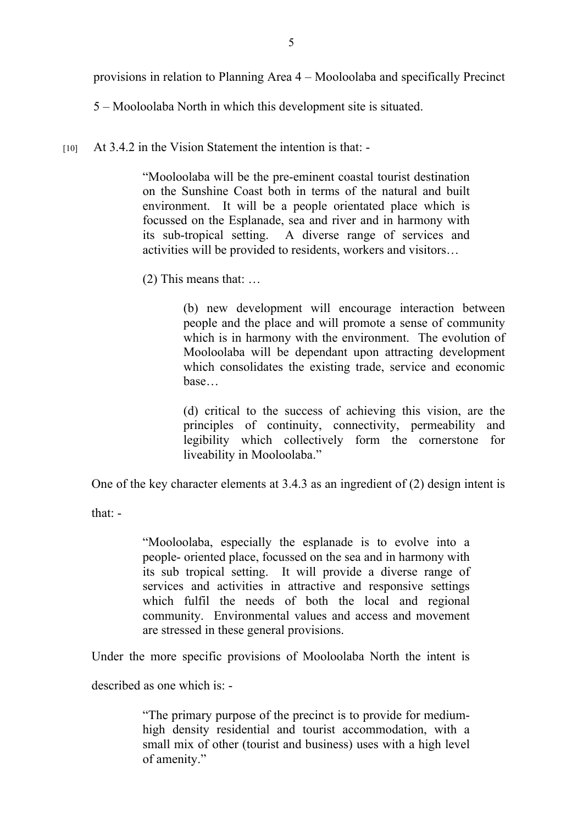provisions in relation to Planning Area 4 – Mooloolaba and specifically Precinct

5 – Mooloolaba North in which this development site is situated.

[10] At 3.4.2 in the Vision Statement the intention is that: -

"Mooloolaba will be the pre-eminent coastal tourist destination on the Sunshine Coast both in terms of the natural and built environment. It will be a people orientated place which is focussed on the Esplanade, sea and river and in harmony with its sub-tropical setting. A diverse range of services and activities will be provided to residents, workers and visitors…

(2) This means that: …

(b) new development will encourage interaction between people and the place and will promote a sense of community which is in harmony with the environment. The evolution of Mooloolaba will be dependant upon attracting development which consolidates the existing trade, service and economic base…

(d) critical to the success of achieving this vision, are the principles of continuity, connectivity, permeability and legibility which collectively form the cornerstone for liveability in Mooloolaba."

One of the key character elements at 3.4.3 as an ingredient of (2) design intent is

that: -

"Mooloolaba, especially the esplanade is to evolve into a people- oriented place, focussed on the sea and in harmony with its sub tropical setting. It will provide a diverse range of services and activities in attractive and responsive settings which fulfil the needs of both the local and regional community. Environmental values and access and movement are stressed in these general provisions.

Under the more specific provisions of Mooloolaba North the intent is

described as one which is: -

"The primary purpose of the precinct is to provide for mediumhigh density residential and tourist accommodation, with a small mix of other (tourist and business) uses with a high level of amenity."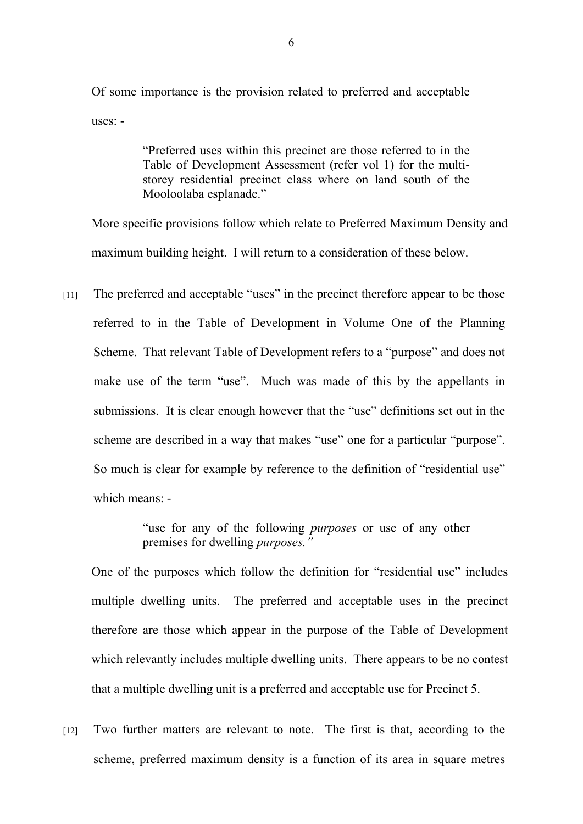Of some importance is the provision related to preferred and acceptable uses: -

> "Preferred uses within this precinct are those referred to in the Table of Development Assessment (refer vol 1) for the multistorey residential precinct class where on land south of the Mooloolaba esplanade."

More specific provisions follow which relate to Preferred Maximum Density and maximum building height. I will return to a consideration of these below.

[11] The preferred and acceptable "uses" in the precinct therefore appear to be those referred to in the Table of Development in Volume One of the Planning Scheme. That relevant Table of Development refers to a "purpose" and does not make use of the term "use". Much was made of this by the appellants in submissions. It is clear enough however that the "use" definitions set out in the scheme are described in a way that makes "use" one for a particular "purpose". So much is clear for example by reference to the definition of "residential use" which means: -

> "use for any of the following *purposes* or use of any other premises for dwelling *purposes."*

One of the purposes which follow the definition for "residential use" includes multiple dwelling units. The preferred and acceptable uses in the precinct therefore are those which appear in the purpose of the Table of Development which relevantly includes multiple dwelling units. There appears to be no contest that a multiple dwelling unit is a preferred and acceptable use for Precinct 5.

[12] Two further matters are relevant to note. The first is that, according to the scheme, preferred maximum density is a function of its area in square metres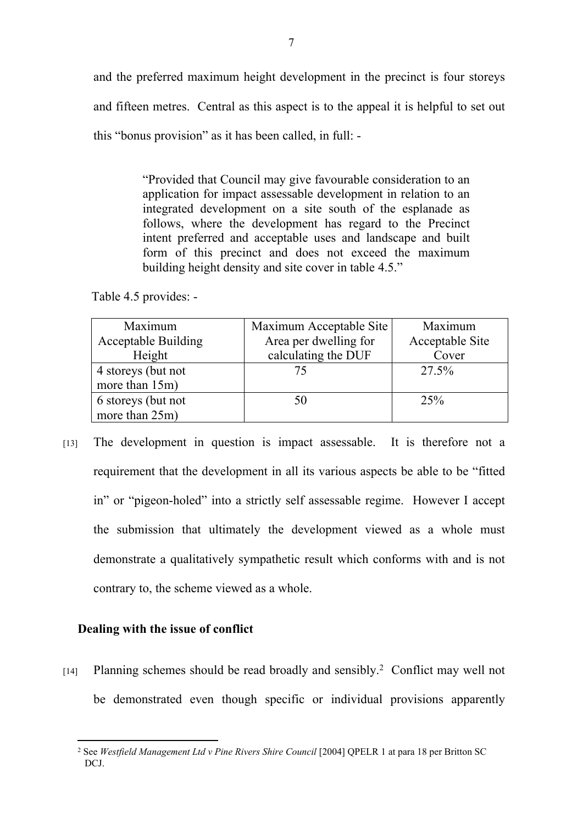and the preferred maximum height development in the precinct is four storeys and fifteen metres. Central as this aspect is to the appeal it is helpful to set out this "bonus provision" as it has been called, in full: -

> "Provided that Council may give favourable consideration to an application for impact assessable development in relation to an integrated development on a site south of the esplanade as follows, where the development has regard to the Precinct intent preferred and acceptable uses and landscape and built form of this precinct and does not exceed the maximum building height density and site cover in table 4.5."

Table 4.5 provides: -

| Maximum                    | Maximum Acceptable Site | Maximum         |
|----------------------------|-------------------------|-----------------|
| <b>Acceptable Building</b> | Area per dwelling for   | Acceptable Site |
| Height                     | calculating the DUF     | Cover           |
| 4 storeys (but not         | 75                      | 27.5%           |
| more than 15m)             |                         |                 |
| 6 storeys (but not         | 50                      | 25%             |
| more than 25m)             |                         |                 |

[13] The development in question is impact assessable. It is therefore not a requirement that the development in all its various aspects be able to be "fitted in" or "pigeon-holed" into a strictly self assessable regime. However I accept the submission that ultimately the development viewed as a whole must demonstrate a qualitatively sympathetic result which conforms with and is not contrary to, the scheme viewed as a whole.

## **Dealing with the issue of conflict**

[14] Planning schemes should be read broadly and sensibly.<sup>2</sup> Conflict may well not be demonstrated even though specific or individual provisions apparently

<sup>2</sup> See *Westfield Management Ltd v Pine Rivers Shire Council* [2004] QPELR 1 at para 18 per Britton SC DCJ.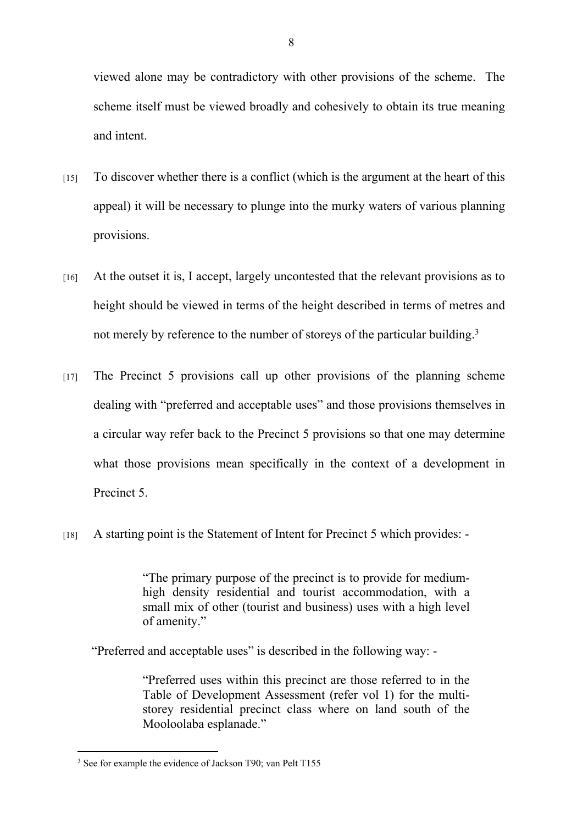viewed alone may be contradictory with other provisions of the scheme. The scheme itself must be viewed broadly and cohesively to obtain its true meaning and intent.

- $[15]$  To discover whether there is a conflict (which is the argument at the heart of this appeal) it will be necessary to plunge into the murky waters of various planning provisions.
- [16] At the outset it is, I accept, largely uncontested that the relevant provisions as to height should be viewed in terms of the height described in terms of metres and not merely by reference to the number of storeys of the particular building.<sup>3</sup>
- [17] The Precinct 5 provisions call up other provisions of the planning scheme dealing with "preferred and acceptable uses" and those provisions themselves in a circular way refer back to the Precinct 5 provisions so that one may determine what those provisions mean specifically in the context of a development in Precinct 5
- [18] A starting point is the Statement of Intent for Precinct 5 which provides: -

"The primary purpose of the precinct is to provide for mediumhigh density residential and tourist accommodation, with a small mix of other (tourist and business) uses with a high level of amenity."

"Preferred and acceptable uses" is described in the following way: -

"Preferred uses within this precinct are those referred to in the Table of Development Assessment (refer vol 1) for the multistorey residential precinct class where on land south of the Mooloolaba esplanade."

<sup>&</sup>lt;sup>3</sup> See for example the evidence of Jackson T90; van Pelt T155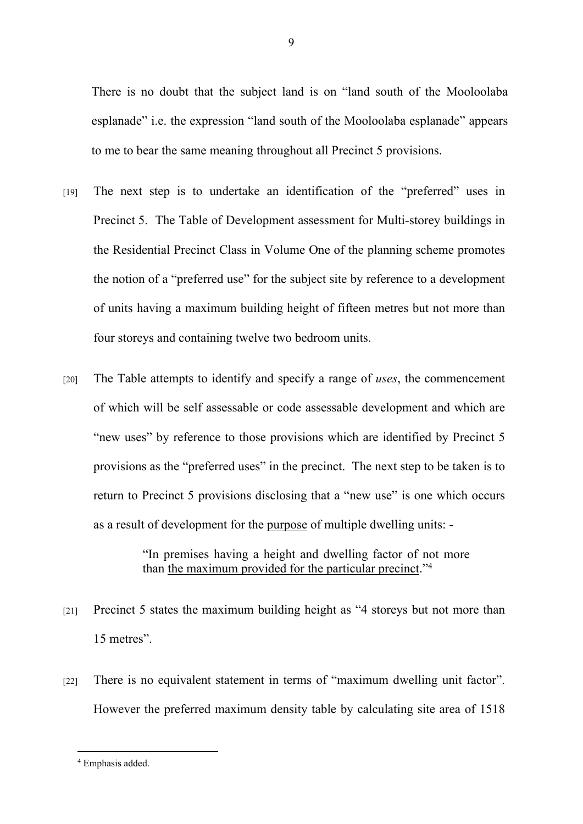There is no doubt that the subject land is on "land south of the Mooloolaba esplanade" i.e. the expression "land south of the Mooloolaba esplanade" appears to me to bear the same meaning throughout all Precinct 5 provisions.

- [19] The next step is to undertake an identification of the "preferred" uses in Precinct 5. The Table of Development assessment for Multi-storey buildings in the Residential Precinct Class in Volume One of the planning scheme promotes the notion of a "preferred use" for the subject site by reference to a development of units having a maximum building height of fifteen metres but not more than four storeys and containing twelve two bedroom units.
- [20] The Table attempts to identify and specify a range of *uses*, the commencement of which will be self assessable or code assessable development and which are "new uses" by reference to those provisions which are identified by Precinct 5 provisions as the "preferred uses" in the precinct. The next step to be taken is to return to Precinct 5 provisions disclosing that a "new use" is one which occurs as a result of development for the purpose of multiple dwelling units: -

"In premises having a height and dwelling factor of not more than the maximum provided for the particular precinct."<sup>4</sup>

- [21] Precinct 5 states the maximum building height as "4 storeys but not more than 15 metres".
- [22] There is no equivalent statement in terms of "maximum dwelling unit factor". However the preferred maximum density table by calculating site area of 1518

<sup>9</sup>

<sup>4</sup> Emphasis added.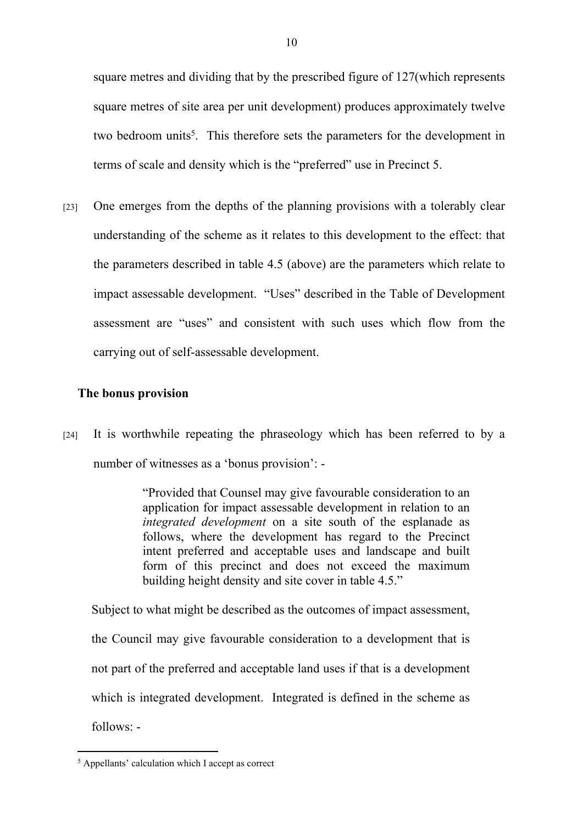square metres and dividing that by the prescribed figure of 127(which represents square metres of site area per unit development) produces approximately twelve two bedroom units<sup>5</sup>. This therefore sets the parameters for the development in terms of scale and density which is the "preferred" use in Precinct 5.

[23] One emerges from the depths of the planning provisions with a tolerably clear understanding of the scheme as it relates to this development to the effect: that the parameters described in table 4.5 (above) are the parameters which relate to impact assessable development. "Uses" described in the Table of Development assessment are "uses" and consistent with such uses which flow from the carrying out of self-assessable development.

## **The bonus provision**

[24] It is worthwhile repeating the phraseology which has been referred to by a number of witnesses as a 'bonus provision': -

> "Provided that Counsel may give favourable consideration to an application for impact assessable development in relation to an *integrated development* on a site south of the esplanade as follows, where the development has regard to the Precinct intent preferred and acceptable uses and landscape and built form of this precinct and does not exceed the maximum building height density and site cover in table 4.5."

Subject to what might be described as the outcomes of impact assessment, the Council may give favourable consideration to a development that is not part of the preferred and acceptable land uses if that is a development which is integrated development. Integrated is defined in the scheme as follows: -

<sup>5</sup> Appellants' calculation which I accept as correct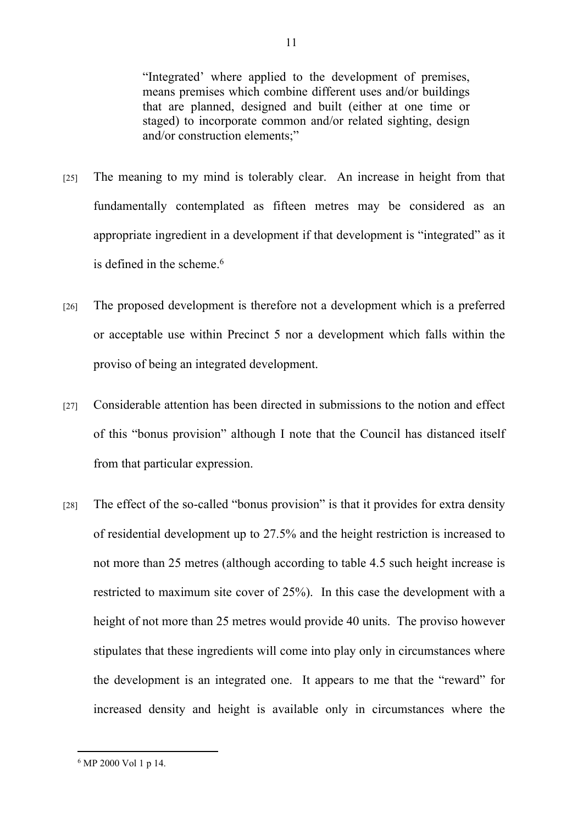"Integrated' where applied to the development of premises, means premises which combine different uses and/or buildings that are planned, designed and built (either at one time or staged) to incorporate common and/or related sighting, design and/or construction elements;"

- [25] The meaning to my mind is tolerably clear. An increase in height from that fundamentally contemplated as fifteen metres may be considered as an appropriate ingredient in a development if that development is "integrated" as it is defined in the scheme.<sup>6</sup>
- [26] The proposed development is therefore not a development which is a preferred or acceptable use within Precinct 5 nor a development which falls within the proviso of being an integrated development.
- [27] Considerable attention has been directed in submissions to the notion and effect of this "bonus provision" although I note that the Council has distanced itself from that particular expression.
- [28] The effect of the so-called "bonus provision" is that it provides for extra density of residential development up to 27.5% and the height restriction is increased to not more than 25 metres (although according to table 4.5 such height increase is restricted to maximum site cover of 25%). In this case the development with a height of not more than 25 metres would provide 40 units. The proviso however stipulates that these ingredients will come into play only in circumstances where the development is an integrated one. It appears to me that the "reward" for increased density and height is available only in circumstances where the

<sup>6</sup> MP 2000 Vol 1 p 14.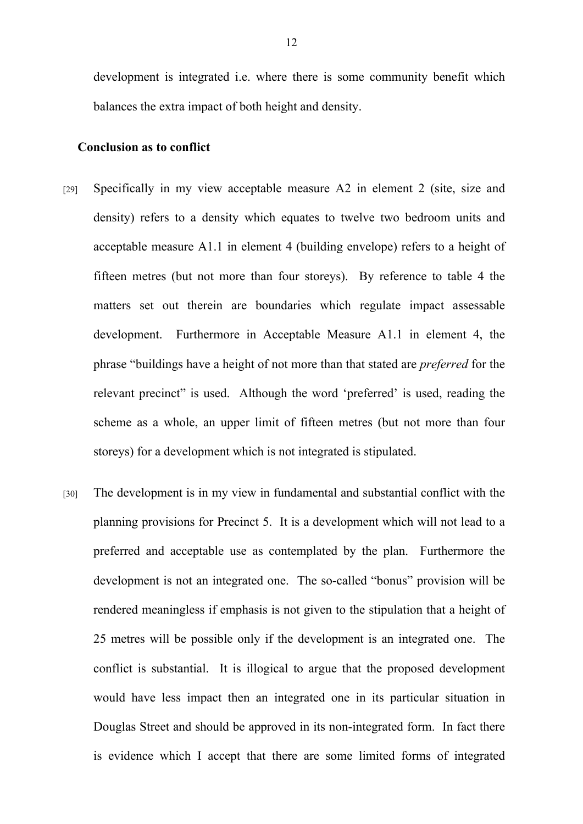development is integrated i.e. where there is some community benefit which balances the extra impact of both height and density.

## **Conclusion as to conflict**

- [29] Specifically in my view acceptable measure A2 in element 2 (site, size and density) refers to a density which equates to twelve two bedroom units and acceptable measure A1.1 in element 4 (building envelope) refers to a height of fifteen metres (but not more than four storeys). By reference to table 4 the matters set out therein are boundaries which regulate impact assessable development. Furthermore in Acceptable Measure A1.1 in element 4, the phrase "buildings have a height of not more than that stated are *preferred* for the relevant precinct" is used. Although the word 'preferred' is used, reading the scheme as a whole, an upper limit of fifteen metres (but not more than four storeys) for a development which is not integrated is stipulated.
- [30] The development is in my view in fundamental and substantial conflict with the planning provisions for Precinct 5. It is a development which will not lead to a preferred and acceptable use as contemplated by the plan. Furthermore the development is not an integrated one. The so-called "bonus" provision will be rendered meaningless if emphasis is not given to the stipulation that a height of 25 metres will be possible only if the development is an integrated one. The conflict is substantial. It is illogical to argue that the proposed development would have less impact then an integrated one in its particular situation in Douglas Street and should be approved in its non-integrated form. In fact there is evidence which I accept that there are some limited forms of integrated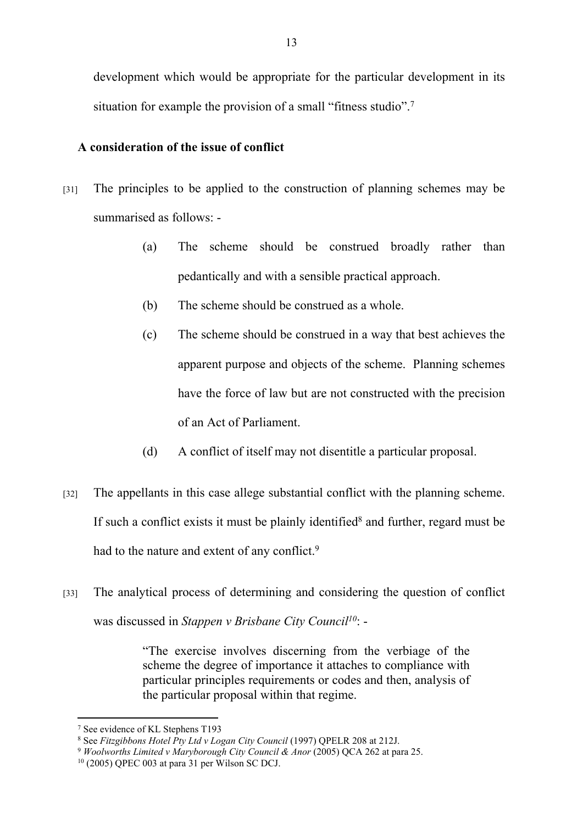development which would be appropriate for the particular development in its situation for example the provision of a small "fitness studio".<sup>7</sup>

## **A consideration of the issue of conflict**

- [31] The principles to be applied to the construction of planning schemes may be summarised as follows: -
	- (a) The scheme should be construed broadly rather than pedantically and with a sensible practical approach.
	- (b) The scheme should be construed as a whole.
	- (c) The scheme should be construed in a way that best achieves the apparent purpose and objects of the scheme. Planning schemes have the force of law but are not constructed with the precision of an Act of Parliament.
	- (d) A conflict of itself may not disentitle a particular proposal.
- [32] The appellants in this case allege substantial conflict with the planning scheme. If such a conflict exists it must be plainly identified<sup>8</sup> and further, regard must be had to the nature and extent of any conflict.<sup>9</sup>
- [33] The analytical process of determining and considering the question of conflict was discussed in *Stappen v Brisbane City Council<sup>10</sup>*: -

"The exercise involves discerning from the verbiage of the scheme the degree of importance it attaches to compliance with particular principles requirements or codes and then, analysis of the particular proposal within that regime.

<sup>7</sup> See evidence of KL Stephens T193

<sup>8</sup> See *Fitzgibbons Hotel Pty Ltd v Logan City Council* (1997) QPELR 208 at 212J.

<sup>&</sup>lt;sup>9</sup> Woolworths Limited v Maryborough City Council & Anor (2005) QCA 262 at para 25.

<sup>10</sup> (2005) QPEC 003 at para 31 per Wilson SC DCJ.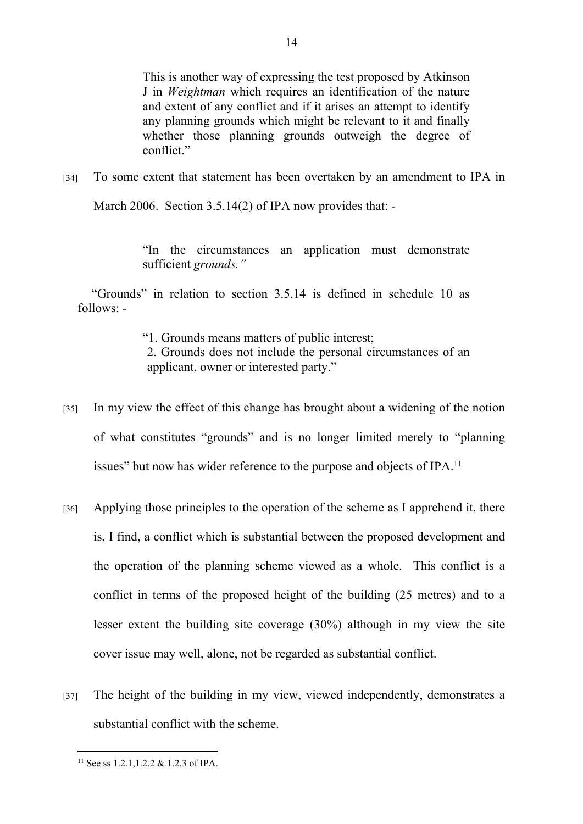This is another way of expressing the test proposed by Atkinson J in *Weightman* which requires an identification of the nature and extent of any conflict and if it arises an attempt to identify any planning grounds which might be relevant to it and finally whether those planning grounds outweigh the degree of conflict."

[34] To some extent that statement has been overtaken by an amendment to IPA in

March 2006. Section 3.5.14(2) of IPA now provides that: -

"In the circumstances an application must demonstrate sufficient *grounds."*

"Grounds" in relation to section 3.5.14 is defined in schedule 10 as follows: -

"1. Grounds means matters of public interest;

2. Grounds does not include the personal circumstances of an applicant, owner or interested party."

- [35] In my view the effect of this change has brought about a widening of the notion of what constitutes "grounds" and is no longer limited merely to "planning issues" but now has wider reference to the purpose and objects of IPA.<sup>11</sup>
- [36] Applying those principles to the operation of the scheme as I apprehend it, there is, I find, a conflict which is substantial between the proposed development and the operation of the planning scheme viewed as a whole. This conflict is a conflict in terms of the proposed height of the building (25 metres) and to a lesser extent the building site coverage (30%) although in my view the site cover issue may well, alone, not be regarded as substantial conflict.
- [37] The height of the building in my view, viewed independently, demonstrates a substantial conflict with the scheme.

<sup>11</sup> See ss 1.2.1,1.2.2 & 1.2.3 of IPA.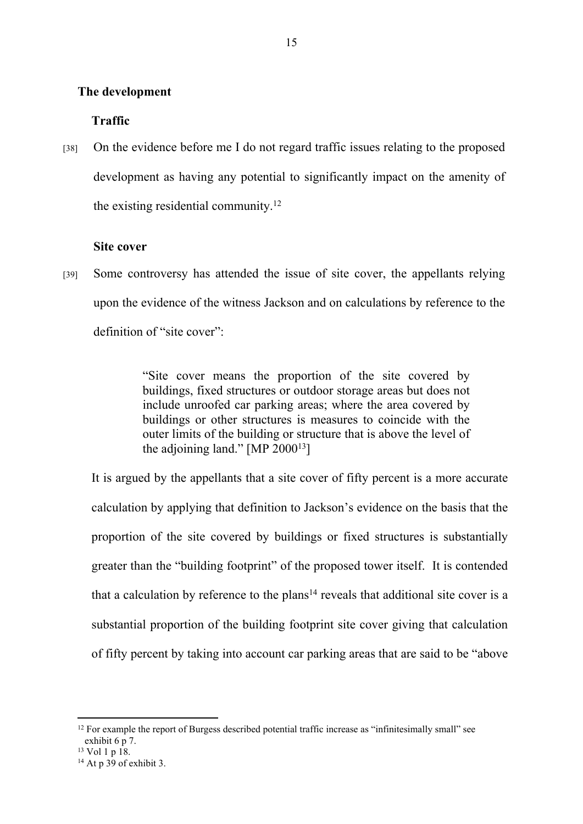#### **The development**

## **Traffic**

[38] On the evidence before me I do not regard traffic issues relating to the proposed development as having any potential to significantly impact on the amenity of the existing residential community.<sup>12</sup>

## **Site cover**

[39] Some controversy has attended the issue of site cover, the appellants relying upon the evidence of the witness Jackson and on calculations by reference to the definition of "site cover":

> "Site cover means the proportion of the site covered by buildings, fixed structures or outdoor storage areas but does not include unroofed car parking areas; where the area covered by buildings or other structures is measures to coincide with the outer limits of the building or structure that is above the level of the adjoining land." [MP  $2000^{13}$ ]

It is argued by the appellants that a site cover of fifty percent is a more accurate calculation by applying that definition to Jackson's evidence on the basis that the proportion of the site covered by buildings or fixed structures is substantially greater than the "building footprint" of the proposed tower itself. It is contended that a calculation by reference to the plans<sup>14</sup> reveals that additional site cover is a substantial proportion of the building footprint site cover giving that calculation of fifty percent by taking into account car parking areas that are said to be "above

<sup>&</sup>lt;sup>12</sup> For example the report of Burgess described potential traffic increase as "infinitesimally small" see exhibit 6 p 7.

 $13$  Vol 1 p 18.

 $14$  At p 39 of exhibit 3.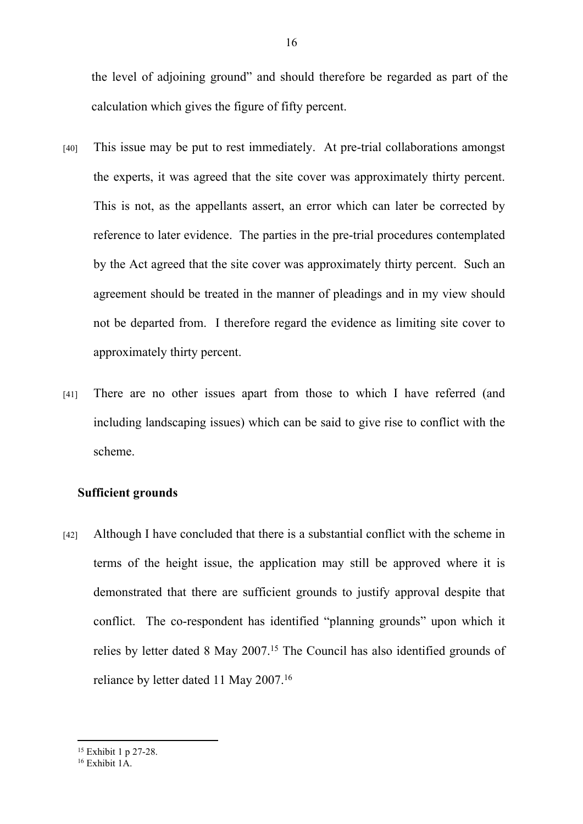the level of adjoining ground" and should therefore be regarded as part of the calculation which gives the figure of fifty percent.

- [40] This issue may be put to rest immediately. At pre-trial collaborations amongst the experts, it was agreed that the site cover was approximately thirty percent. This is not, as the appellants assert, an error which can later be corrected by reference to later evidence. The parties in the pre-trial procedures contemplated by the Act agreed that the site cover was approximately thirty percent. Such an agreement should be treated in the manner of pleadings and in my view should not be departed from. I therefore regard the evidence as limiting site cover to approximately thirty percent.
- [41] There are no other issues apart from those to which I have referred (and including landscaping issues) which can be said to give rise to conflict with the scheme.

### **Sufficient grounds**

[42] Although I have concluded that there is a substantial conflict with the scheme in terms of the height issue, the application may still be approved where it is demonstrated that there are sufficient grounds to justify approval despite that conflict. The co-respondent has identified "planning grounds" upon which it relies by letter dated 8 May 2007.<sup>15</sup> The Council has also identified grounds of reliance by letter dated 11 May 2007.<sup>16</sup>

<sup>15</sup> Exhibit 1 p 27-28.

 $16$  Exhibit  $1\AA$ .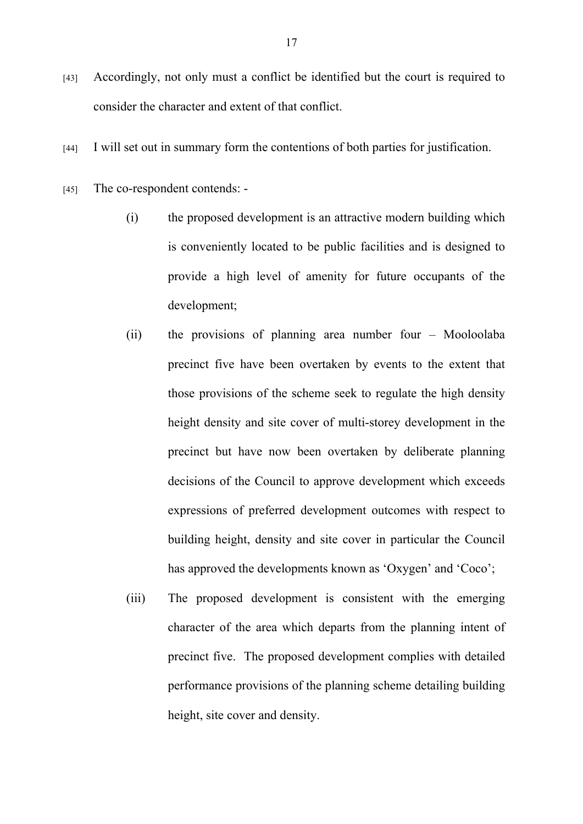- [43] Accordingly, not only must a conflict be identified but the court is required to consider the character and extent of that conflict.
- [44] I will set out in summary form the contentions of both parties for justification.
- [45] The co-respondent contends:
	- (i) the proposed development is an attractive modern building which is conveniently located to be public facilities and is designed to provide a high level of amenity for future occupants of the development;
	- (ii) the provisions of planning area number four Mooloolaba precinct five have been overtaken by events to the extent that those provisions of the scheme seek to regulate the high density height density and site cover of multi-storey development in the precinct but have now been overtaken by deliberate planning decisions of the Council to approve development which exceeds expressions of preferred development outcomes with respect to building height, density and site cover in particular the Council has approved the developments known as 'Oxygen' and 'Coco';
	- (iii) The proposed development is consistent with the emerging character of the area which departs from the planning intent of precinct five. The proposed development complies with detailed performance provisions of the planning scheme detailing building height, site cover and density.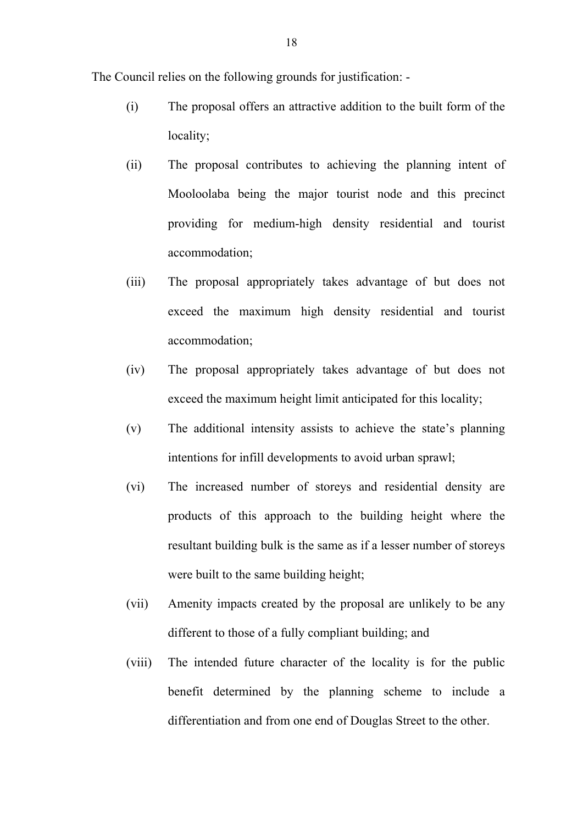The Council relies on the following grounds for justification: -

- (i) The proposal offers an attractive addition to the built form of the locality;
- (ii) The proposal contributes to achieving the planning intent of Mooloolaba being the major tourist node and this precinct providing for medium-high density residential and tourist accommodation;
- (iii) The proposal appropriately takes advantage of but does not exceed the maximum high density residential and tourist accommodation;
- (iv) The proposal appropriately takes advantage of but does not exceed the maximum height limit anticipated for this locality;
- (v) The additional intensity assists to achieve the state's planning intentions for infill developments to avoid urban sprawl;
- (vi) The increased number of storeys and residential density are products of this approach to the building height where the resultant building bulk is the same as if a lesser number of storeys were built to the same building height;
- (vii) Amenity impacts created by the proposal are unlikely to be any different to those of a fully compliant building; and
- (viii) The intended future character of the locality is for the public benefit determined by the planning scheme to include a differentiation and from one end of Douglas Street to the other.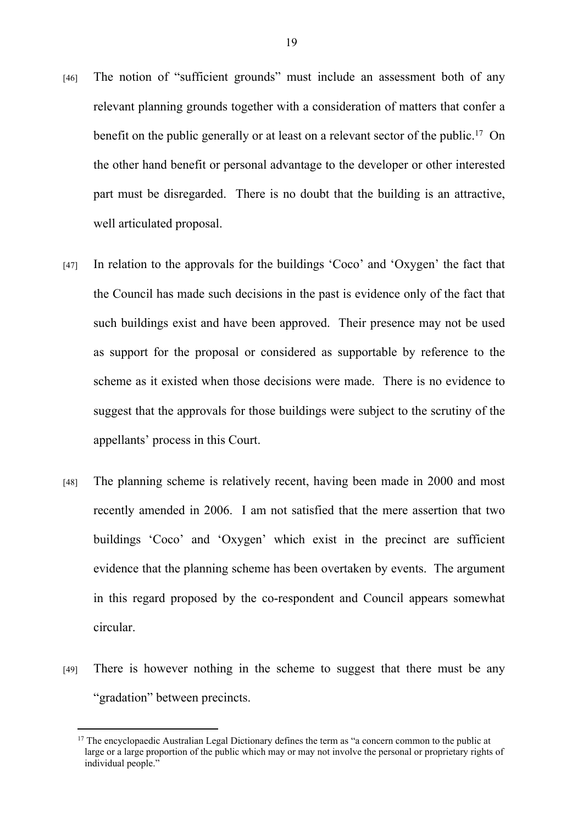- [46] The notion of "sufficient grounds" must include an assessment both of any relevant planning grounds together with a consideration of matters that confer a benefit on the public generally or at least on a relevant sector of the public.<sup>17</sup> On the other hand benefit or personal advantage to the developer or other interested part must be disregarded. There is no doubt that the building is an attractive, well articulated proposal.
- [47] In relation to the approvals for the buildings 'Coco' and 'Oxygen' the fact that the Council has made such decisions in the past is evidence only of the fact that such buildings exist and have been approved. Their presence may not be used as support for the proposal or considered as supportable by reference to the scheme as it existed when those decisions were made. There is no evidence to suggest that the approvals for those buildings were subject to the scrutiny of the appellants' process in this Court.
- [48] The planning scheme is relatively recent, having been made in 2000 and most recently amended in 2006. I am not satisfied that the mere assertion that two buildings 'Coco' and 'Oxygen' which exist in the precinct are sufficient evidence that the planning scheme has been overtaken by events. The argument in this regard proposed by the co-respondent and Council appears somewhat circular.
- [49] There is however nothing in the scheme to suggest that there must be any "gradation" between precincts.

<sup>&</sup>lt;sup>17</sup> The encyclopaedic Australian Legal Dictionary defines the term as "a concern common to the public at large or a large proportion of the public which may or may not involve the personal or proprietary rights of individual people."